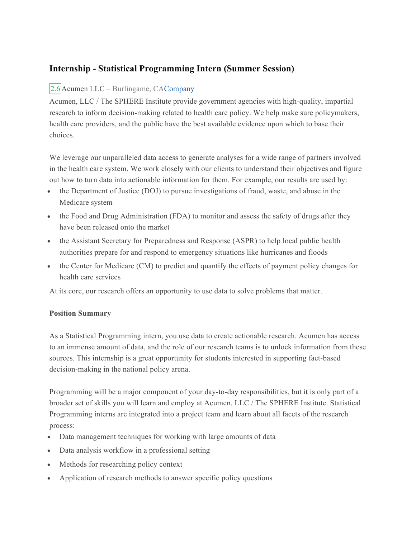## **Internship - Statistical Programming Intern (Summer Session)**

## 2.6 Acumen LLC – Burlingame, CACompany

Acumen, LLC / The SPHERE Institute provide government agencies with high-quality, impartial research to inform decision-making related to health care policy. We help make sure policymakers, health care providers, and the public have the best available evidence upon which to base their choices.

We leverage our unparalleled data access to generate analyses for a wide range of partners involved in the health care system. We work closely with our clients to understand their objectives and figure out how to turn data into actionable information for them. For example, our results are used by:

- the Department of Justice (DOJ) to pursue investigations of fraud, waste, and abuse in the Medicare system
- the Food and Drug Administration (FDA) to monitor and assess the safety of drugs after they have been released onto the market
- the Assistant Secretary for Preparedness and Response (ASPR) to help local public health authorities prepare for and respond to emergency situations like hurricanes and floods
- the Center for Medicare (CM) to predict and quantify the effects of payment policy changes for health care services

At its core, our research offers an opportunity to use data to solve problems that matter.

## **Position Summary**

As a Statistical Programming intern, you use data to create actionable research. Acumen has access to an immense amount of data, and the role of our research teams is to unlock information from these sources. This internship is a great opportunity for students interested in supporting fact-based decision-making in the national policy arena.

Programming will be a major component of your day-to-day responsibilities, but it is only part of a broader set of skills you will learn and employ at Acumen, LLC / The SPHERE Institute. Statistical Programming interns are integrated into a project team and learn about all facets of the research process:

- Data management techniques for working with large amounts of data
- Data analysis workflow in a professional setting
- Methods for researching policy context
- Application of research methods to answer specific policy questions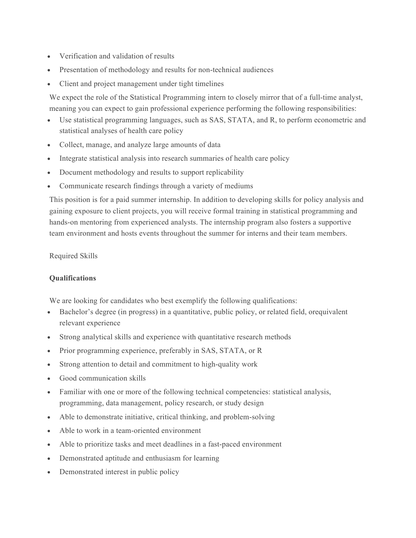- Verification and validation of results
- Presentation of methodology and results for non-technical audiences
- Client and project management under tight timelines

We expect the role of the Statistical Programming intern to closely mirror that of a full-time analyst, meaning you can expect to gain professional experience performing the following responsibilities:

- Use statistical programming languages, such as SAS, STATA, and R, to perform econometric and statistical analyses of health care policy
- Collect, manage, and analyze large amounts of data
- Integrate statistical analysis into research summaries of health care policy
- Document methodology and results to support replicability
- Communicate research findings through a variety of mediums

This position is for a paid summer internship. In addition to developing skills for policy analysis and gaining exposure to client projects, you will receive formal training in statistical programming and hands-on mentoring from experienced analysts. The internship program also fosters a supportive team environment and hosts events throughout the summer for interns and their team members.

Required Skills

## **Qualifications**

We are looking for candidates who best exemplify the following qualifications:

- Bachelor's degree (in progress) in a quantitative, public policy, or related field, or equivalent relevant experience
- Strong analytical skills and experience with quantitative research methods
- Prior programming experience, preferably in SAS, STATA, or R
- Strong attention to detail and commitment to high-quality work
- Good communication skills
- Familiar with one or more of the following technical competencies: statistical analysis, programming, data management, policy research, or study design
- Able to demonstrate initiative, critical thinking, and problem-solving
- Able to work in a team-oriented environment
- Able to prioritize tasks and meet deadlines in a fast-paced environment
- Demonstrated aptitude and enthusiasm for learning
- Demonstrated interest in public policy